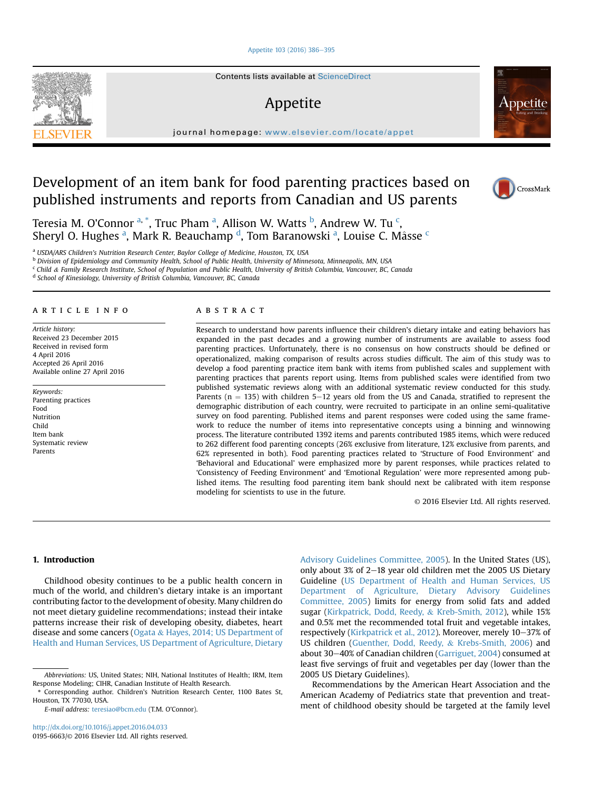# [Appetite 103 \(2016\) 386](http://dx.doi.org/10.1016/j.appet.2016.04.033)-[395](http://dx.doi.org/10.1016/j.appet.2016.04.033)



Contents lists available at ScienceDirect

# Appetite

journal homepage: <www.elsevier.com/locate/appet>

# Development of an item bank for food parenting practices based on published instruments and reports from Canadian and US parents





Teresia M. O'Connor <sup>a, \*</sup>, Truc Pham <sup>a</sup>, Allison W. Watts <sup>b</sup>, Andrew W. Tu <sup>c</sup>, Sheryl O. Hughes <sup>a</sup>, Mark R. Beauchamp <sup>d</sup>, Tom Baranowski <sup>a</sup>, Louise C. Mâsse <sup>c</sup>

a USDA/ARS Children's Nutrition Research Center, Baylor College of Medicine, Houston, TX, USA

<sup>b</sup> Division of Epidemiology and Community Health, School of Public Health, University of Minnesota, Minneapolis, MN, USA

<sup>c</sup> Child & Family Research Institute, School of Population and Public Health, University of British Columbia, Vancouver, BC, Canada

<sup>d</sup> School of Kinesiology, University of British Columbia, Vancouver, BC, Canada

# article info

Article history: Received 23 December 2015 Received in revised form 4 April 2016 Accepted 26 April 2016 Available online 27 April 2016

Keywords: Parenting practices Food Nutrition Child Item bank Systematic review Parents

### **ABSTRACT**

Research to understand how parents influence their children's dietary intake and eating behaviors has expanded in the past decades and a growing number of instruments are available to assess food parenting practices. Unfortunately, there is no consensus on how constructs should be defined or operationalized, making comparison of results across studies difficult. The aim of this study was to develop a food parenting practice item bank with items from published scales and supplement with parenting practices that parents report using. Items from published scales were identified from two published systematic reviews along with an additional systematic review conducted for this study. Parents ( $n = 135$ ) with children 5-12 years old from the US and Canada, stratified to represent the demographic distribution of each country, were recruited to participate in an online semi-qualitative survey on food parenting. Published items and parent responses were coded using the same framework to reduce the number of items into representative concepts using a binning and winnowing process. The literature contributed 1392 items and parents contributed 1985 items, which were reduced to 262 different food parenting concepts (26% exclusive from literature, 12% exclusive from parents, and 62% represented in both). Food parenting practices related to 'Structure of Food Environment' and 'Behavioral and Educational' were emphasized more by parent responses, while practices related to 'Consistency of Feeding Environment' and 'Emotional Regulation' were more represented among published items. The resulting food parenting item bank should next be calibrated with item response modeling for scientists to use in the future.

© 2016 Elsevier Ltd. All rights reserved.

# 1. Introduction

Childhood obesity continues to be a public health concern in much of the world, and children's dietary intake is an important contributing factor to the development of obesity. Many children do not meet dietary guideline recommendations; instead their intake patterns increase their risk of developing obesity, diabetes, heart disease and some cancers (Ogata & Hayes, 2014; US Department of Health and Human Services, US Department of Agriculture, Dietary

E-mail address: [teresiao@bcm.edu](mailto:teresiao@bcm.edu) (T.M. O'Connor).

Advisory Guidelines Committee, 2005). In the United States (US), only about  $3\%$  of 2-18 year old children met the 2005 US Dietary Guideline (US Department of Health and Human Services, US Department of Agriculture, Dietary Advisory Guidelines Committee, 2005) limits for energy from solid fats and added sugar (Kirkpatrick, Dodd, Reedy, & Kreb-Smith, 2012), while 15% and 0.5% met the recommended total fruit and vegetable intakes, respectively (Kirkpatrick et al., 2012). Moreover, merely 10-37% of US children (Guenther, Dodd, Reedy, & Krebs-Smith, 2006) and about 30 $-40\%$  of Canadian children (Garriguet, 2004) consumed at least five servings of fruit and vegetables per day (lower than the 2005 US Dietary Guidelines).

Recommendations by the American Heart Association and the American Academy of Pediatrics state that prevention and treatment of childhood obesity should be targeted at the family level

Abbreviations: US, United States; NIH, National Institutes of Health; IRM, Item Response Modeling; CIHR, Canadian Institute of Health Research.

<sup>\*</sup> Corresponding author. Children's Nutrition Research Center, 1100 Bates St, Houston, TX 77030, USA.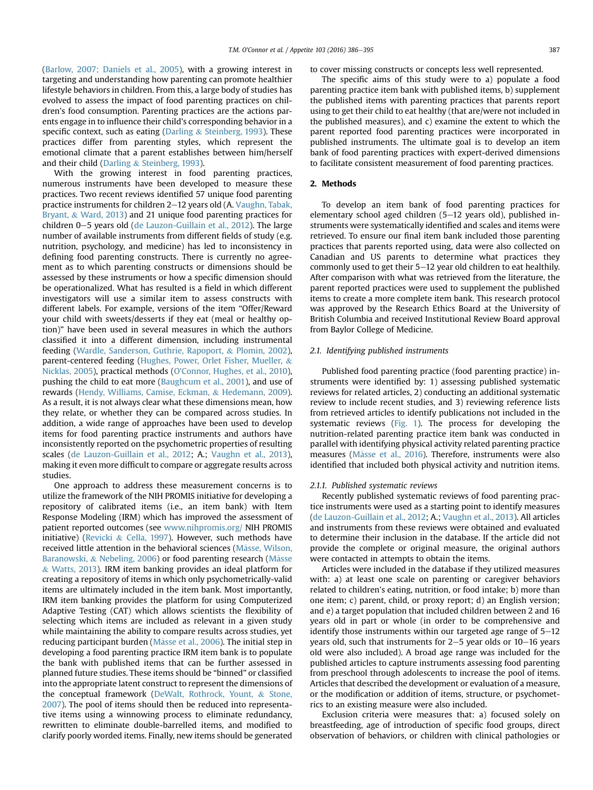(Barlow, 2007; Daniels et al., 2005), with a growing interest in targeting and understanding how parenting can promote healthier lifestyle behaviors in children. From this, a large body of studies has evolved to assess the impact of food parenting practices on children's food consumption. Parenting practices are the actions parents engage in to influence their child's corresponding behavior in a specific context, such as eating (Darling & Steinberg, 1993). These practices differ from parenting styles, which represent the emotional climate that a parent establishes between him/herself and their child (Darling & Steinberg, 1993).

With the growing interest in food parenting practices, numerous instruments have been developed to measure these practices. Two recent reviews identified 57 unique food parenting practice instruments for children 2–12 years old (A. Vaughn, Tabak, Bryant, & Ward, 2013) and 21 unique food parenting practices for children  $0-5$  years old (de Lauzon-Guillain et al., 2012). The large number of available instruments from different fields of study (e.g. nutrition, psychology, and medicine) has led to inconsistency in defining food parenting constructs. There is currently no agreement as to which parenting constructs or dimensions should be assessed by these instruments or how a specific dimension should be operationalized. What has resulted is a field in which different investigators will use a similar item to assess constructs with different labels. For example, versions of the item "Offer/Reward your child with sweets/desserts if they eat (meal or healthy option)" have been used in several measures in which the authors classified it into a different dimension, including instrumental feeding (Wardle, Sanderson, Guthrie, Rapoport, & Plomin, 2002), parent-centered feeding (Hughes, Power, Orlet Fisher, Mueller, & Nicklas, 2005), practical methods (O'Connor, Hughes, et al., 2010), pushing the child to eat more (Baughcum et al., 2001), and use of rewards (Hendy, Williams, Camise, Eckman, & Hedemann, 2009). As a result, it is not always clear what these dimensions mean, how they relate, or whether they can be compared across studies. In addition, a wide range of approaches have been used to develop items for food parenting practice instruments and authors have inconsistently reported on the psychometric properties of resulting scales (de Lauzon-Guillain et al., 2012; A.; Vaughn et al., 2013), making it even more difficult to compare or aggregate results across studies.

One approach to address these measurement concerns is to utilize the framework of the NIH PROMIS initiative for developing a repository of calibrated items (i.e., an item bank) with Item Response Modeling (IRM) which has improved the assessment of patient reported outcomes (see [www.nihpromis.org/](http://www.nihpromis.org/) NIH PROMIS initiative) (Revicki & Cella, 1997). However, such methods have received little attention in the behavioral sciences (Mâsse, Wilson, Baranowski, & Nebeling, 2006) or food parenting research (Mâsse & Watts, 2013). IRM item banking provides an ideal platform for creating a repository of items in which only psychometrically-valid items are ultimately included in the item bank. Most importantly, IRM item banking provides the platform for using Computerized Adaptive Testing (CAT) which allows scientists the flexibility of selecting which items are included as relevant in a given study while maintaining the ability to compare results across studies, yet reducing participant burden (Mâsse et al., 2006). The initial step in developing a food parenting practice IRM item bank is to populate the bank with published items that can be further assessed in planned future studies. These items should be "binned" or classified into the appropriate latent construct to represent the dimensions of the conceptual framework (DeWalt, Rothrock, Yount, & Stone, 2007). The pool of items should then be reduced into representative items using a winnowing process to eliminate redundancy, rewritten to eliminate double-barrelled items, and modified to clarify poorly worded items. Finally, new items should be generated

to cover missing constructs or concepts less well represented.

The specific aims of this study were to a) populate a food parenting practice item bank with published items, b) supplement the published items with parenting practices that parents report using to get their child to eat healthy (that are/were not included in the published measures), and c) examine the extent to which the parent reported food parenting practices were incorporated in published instruments. The ultimate goal is to develop an item bank of food parenting practices with expert-derived dimensions to facilitate consistent measurement of food parenting practices.

# 2. Methods

To develop an item bank of food parenting practices for elementary school aged children  $(5-12)$  years old), published instruments were systematically identified and scales and items were retrieved. To ensure our final item bank included those parenting practices that parents reported using, data were also collected on Canadian and US parents to determine what practices they commonly used to get their  $5-12$  year old children to eat healthily. After comparison with what was retrieved from the literature, the parent reported practices were used to supplement the published items to create a more complete item bank. This research protocol was approved by the Research Ethics Board at the University of British Columbia and received Institutional Review Board approval from Baylor College of Medicine.

# 2.1. Identifying published instruments

Published food parenting practice (food parenting practice) instruments were identified by: 1) assessing published systematic reviews for related articles, 2) conducting an additional systematic review to include recent studies, and 3) reviewing reference lists from retrieved articles to identify publications not included in the systematic reviews (Fig. 1). The process for developing the nutrition-related parenting practice item bank was conducted in parallel with identifying physical activity related parenting practice measures (Mâsse et al., 2016). Therefore, instruments were also identified that included both physical activity and nutrition items.

#### 2.1.1. Published systematic reviews

Recently published systematic reviews of food parenting practice instruments were used as a starting point to identify measures (de Lauzon-Guillain et al., 2012; A.; Vaughn et al., 2013). All articles and instruments from these reviews were obtained and evaluated to determine their inclusion in the database. If the article did not provide the complete or original measure, the original authors were contacted in attempts to obtain the items.

Articles were included in the database if they utilized measures with: a) at least one scale on parenting or caregiver behaviors related to children's eating, nutrition, or food intake; b) more than one item; c) parent, child, or proxy report; d) an English version; and e) a target population that included children between 2 and 16 years old in part or whole (in order to be comprehensive and identify those instruments within our targeted age range of  $5-12$ years old, such that instruments for  $2-5$  year olds or  $10-16$  years old were also included). A broad age range was included for the published articles to capture instruments assessing food parenting from preschool through adolescents to increase the pool of items. Articles that described the development or evaluation of a measure, or the modification or addition of items, structure, or psychometrics to an existing measure were also included.

Exclusion criteria were measures that: a) focused solely on breastfeeding, age of introduction of specific food groups, direct observation of behaviors, or children with clinical pathologies or